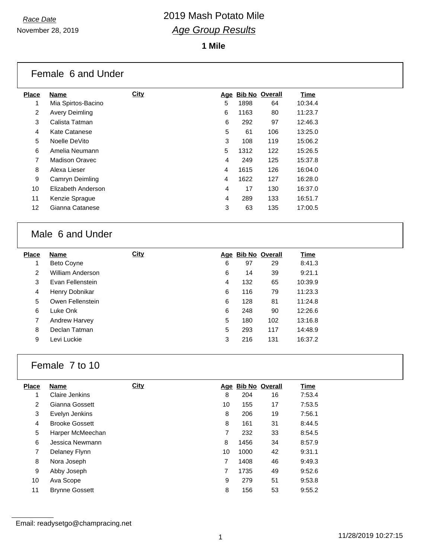### *Race Date* 2019 Mash Potato Mile *Age Group Results*

**1 Mile**

|                 | Female 6 and Under    |             |   |      |                    |         |
|-----------------|-----------------------|-------------|---|------|--------------------|---------|
| <b>Place</b>    | Name                  | <b>City</b> |   |      | Age Bib No Overall | Time    |
| 1               | Mia Spirtos-Bacino    |             | 5 | 1898 | 64                 | 10:34.4 |
| 2               | Avery Deimling        |             | 6 | 1163 | 80                 | 11:23.7 |
| 3               | Calista Tatman        |             | 6 | 292  | 97                 | 12:46.3 |
| 4               | Kate Catanese         |             | 5 | 61   | 106                | 13:25.0 |
| 5               | Noelle DeVito         |             | 3 | 108  | 119                | 15:06.2 |
| 6               | Amelia Neumann        |             | 5 | 1312 | 122                | 15:26.5 |
| 7               | <b>Madison Oravec</b> |             | 4 | 249  | 125                | 15:37.8 |
| 8               | Alexa Lieser          |             | 4 | 1615 | 126                | 16:04.0 |
| 9               | Camryn Deimling       |             | 4 | 1622 | 127                | 16:28.0 |
| 10              | Elizabeth Anderson    |             | 4 | 17   | 130                | 16:37.0 |
| 11              | Kenzie Sprague        |             | 4 | 289  | 133                | 16:51.7 |
| 12 <sup>2</sup> | Gianna Catanese       |             | 3 | 63   | 135                | 17:00.5 |
|                 |                       |             |   |      |                    |         |

### Male 6 and Under

| <b>Place</b> | Name              | <b>City</b> |   | Age Bib No Overall |     | <u>Time</u> |
|--------------|-------------------|-------------|---|--------------------|-----|-------------|
|              | <b>Beto Coyne</b> |             | 6 | 97                 | 29  | 8:41.3      |
| 2            | William Anderson  |             | 6 | 14                 | 39  | 9:21.1      |
| 3            | Evan Fellenstein  |             | 4 | 132                | 65  | 10:39.9     |
| 4            | Henry Dobnikar    |             | 6 | 116                | 79  | 11:23.3     |
| 5            | Owen Fellenstein  |             | 6 | 128                | 81  | 11:24.8     |
| 6            | Luke Onk          |             | 6 | 248                | 90  | 12:26.6     |
| 7            | Andrew Harvey     |             | 5 | 180                | 102 | 13:16.8     |
| 8            | Declan Tatman     |             | 5 | 293                | 117 | 14:48.9     |
| 9            | Levi Luckie       |             | 3 | 216                | 131 | 16:37.2     |

### Female 7 to 10

| <b>Place</b>   | <b>Name</b>           | <b>City</b> |    |      | Age Bib No Overall | <b>Time</b> |
|----------------|-----------------------|-------------|----|------|--------------------|-------------|
| 1              | Claire Jenkins        |             | 8  | 204  | 16                 | 7:53.4      |
| $\overline{2}$ | Gianna Gossett        |             | 10 | 155  | 17                 | 7:53.5      |
| 3              | Evelyn Jenkins        |             | 8  | 206  | 19                 | 7:56.1      |
| 4              | <b>Brooke Gossett</b> |             | 8  | 161  | 31                 | 8:44.5      |
| 5              | Harper McMeechan      |             | 7  | 232  | 33                 | 8:54.5      |
| 6              | Jessica Newmann       |             | 8  | 1456 | 34                 | 8:57.9      |
| 7              | Delaney Flynn         |             | 10 | 1000 | 42                 | 9:31.1      |
| 8              | Nora Joseph           |             | 7  | 1408 | 46                 | 9:49.3      |
| 9              | Abby Joseph           |             | 7  | 1735 | 49                 | 9:52.6      |
| 10             | Ava Scope             |             | 9  | 279  | 51                 | 9:53.8      |
| 11             | <b>Brynne Gossett</b> |             | 8  | 156  | 53                 | 9:55.2      |

Email: readysetgo@champracing.net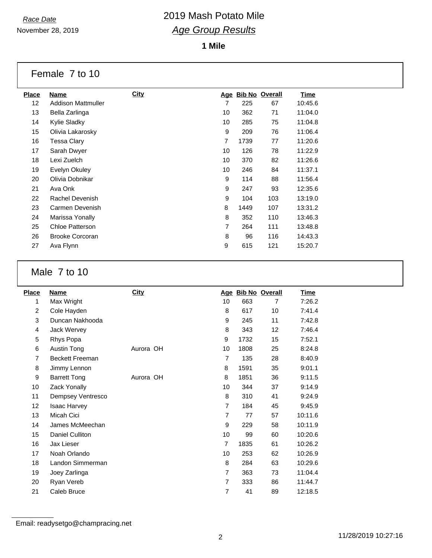November 28, 2019

# *Race Date* 2019 Mash Potato Mile *Age Group Results*

**1 Mile**

| Female 7 to 10 |  |  |  |  |
|----------------|--|--|--|--|
|----------------|--|--|--|--|

| Place | Name                      | <b>City</b> | <u>Age</u>     | <u>Bib No</u> | Overall | <u>Time</u> |
|-------|---------------------------|-------------|----------------|---------------|---------|-------------|
| 12    | <b>Addison Mattmuller</b> |             | 7              | 225           | 67      | 10:45.6     |
| 13    | Bella Zarlinga            |             | 10             | 362           | 71      | 11:04.0     |
| 14    | Kylie Sladky              |             | 10             | 285           | 75      | 11:04.8     |
| 15    | Olivia Lakarosky          |             | 9              | 209           | 76      | 11:06.4     |
| 16    | Tessa Clary               |             | 7              | 1739          | 77      | 11:20.6     |
| 17    | Sarah Dwyer               |             | 10             | 126           | 78      | 11:22.9     |
| 18    | Lexi Zuelch               |             | 10             | 370           | 82      | 11:26.6     |
| 19    | Evelyn Okuley             |             | 10             | 246           | 84      | 11:37.1     |
| 20    | Olivia Dobnikar           |             | 9              | 114           | 88      | 11:56.4     |
| 21    | Ava Onk                   |             | 9              | 247           | 93      | 12:35.6     |
| 22    | Rachel Devenish           |             | 9              | 104           | 103     | 13:19.0     |
| 23    | Carmen Devenish           |             | 8              | 1449          | 107     | 13:31.2     |
| 24    | Marissa Yonally           |             | 8              | 352           | 110     | 13:46.3     |
| 25    | <b>Chloe Patterson</b>    |             | $\overline{7}$ | 264           | 111     | 13:48.8     |
| 26    | <b>Brooke Corcoran</b>    |             | 8              | 96            | 116     | 14:43.3     |
| 27    | Ava Flynn                 |             | 9              | 615           | 121     | 15:20.7     |
|       |                           |             |                |               |         |             |

#### Male 7 to 10

| <b>Place</b>   | Name                   | <b>City</b> |                |      | Age Bib No Overall | Time    |
|----------------|------------------------|-------------|----------------|------|--------------------|---------|
| 1              | Max Wright             |             | 10             | 663  | 7                  | 7:26.2  |
| $\overline{2}$ | Cole Hayden            |             | 8              | 617  | 10                 | 7:41.4  |
| 3              | Duncan Nakhooda        |             | 9              | 245  | 11                 | 7:42.8  |
| 4              | Jack Wervey            |             | 8              | 343  | 12                 | 7:46.4  |
| 5              | Rhys Popa              |             | 9              | 1732 | 15                 | 7:52.1  |
| 6              | Austin Tong            | Aurora OH   | 10             | 1808 | 25                 | 8:24.8  |
| $\overline{7}$ | <b>Beckett Freeman</b> |             | $\overline{7}$ | 135  | 28                 | 8:40.9  |
| 8              | Jimmy Lennon           |             | 8              | 1591 | 35                 | 9:01.1  |
| 9              | <b>Barrett Tong</b>    | Aurora OH   | 8              | 1851 | 36                 | 9:11.5  |
| 10             | Zack Yonally           |             | 10             | 344  | 37                 | 9:14.9  |
| 11             | Dempsey Ventresco      |             | 8              | 310  | 41                 | 9:24.9  |
| 12             | <b>Isaac Harvey</b>    |             | 7              | 184  | 45                 | 9:45.9  |
| 13             | Micah Cici             |             | $\overline{7}$ | 77   | 57                 | 10:11.6 |
| 14             | James McMeechan        |             | 9              | 229  | 58                 | 10:11.9 |
| 15             | Daniel Culliton        |             | 10             | 99   | 60                 | 10:20.6 |
| 16             | Jax Lieser             |             | 7              | 1835 | 61                 | 10:26.2 |
| 17             | Noah Orlando           |             | 10             | 253  | 62                 | 10:26.9 |
| 18             | Landon Simmerman       |             | 8              | 284  | 63                 | 10:29.6 |
| 19             | Joey Zarlinga          |             | $\overline{7}$ | 363  | 73                 | 11:04.4 |
| 20             | Ryan Vereb             |             | $\overline{7}$ | 333  | 86                 | 11:44.7 |
| 21             | Caleb Bruce            |             | 7              | 41   | 89                 | 12:18.5 |

Email: readysetgo@champracing.net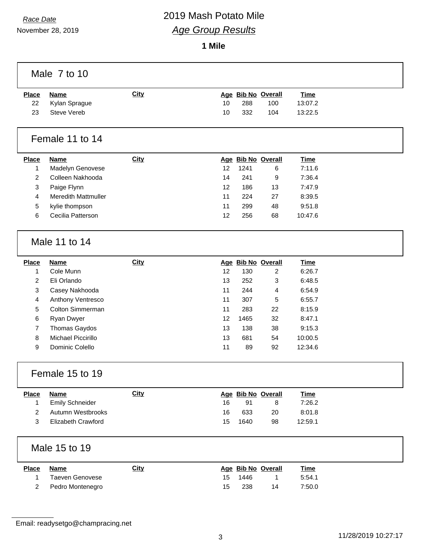November 28, 2019

## *Race Date* 2019 Mash Potato Mile *Age Group Results*

**1 Mile**

|                | Male 7 to 10               |             |    |      |                    |             |  |
|----------------|----------------------------|-------------|----|------|--------------------|-------------|--|
| <b>Place</b>   | <b>Name</b>                | <b>City</b> |    |      | Age Bib No Overall | <b>Time</b> |  |
| 22             | Kylan Sprague              |             | 10 | 288  | 100                | 13:07.2     |  |
| 23             | <b>Steve Vereb</b>         |             | 10 | 332  | 104                | 13:22.5     |  |
|                | Female 11 to 14            |             |    |      |                    |             |  |
| <b>Place</b>   | <b>Name</b>                | <b>City</b> |    |      | Age Bib No Overall | <b>Time</b> |  |
| $\mathbf{1}$   | Madelyn Genovese           |             | 12 | 1241 | 6                  | 7:11.6      |  |
| $\overline{c}$ | Colleen Nakhooda           |             | 14 | 241  | 9                  | 7:36.4      |  |
| 3              | Paige Flynn                |             | 12 | 186  | 13                 | 7:47.9      |  |
| $\overline{4}$ | <b>Meredith Mattmuller</b> |             | 11 | 224  | 27                 | 8:39.5      |  |
| 5              | kylie thompson             |             | 11 | 299  | 48                 | 9:51.8      |  |
| 6              | Cecilia Patterson          |             | 12 | 256  | 68                 | 10:47.6     |  |
|                | Male 11 to 14              |             |    |      |                    |             |  |
| <b>Place</b>   | <b>Name</b>                | <b>City</b> |    |      | Age Bib No Overall | <b>Time</b> |  |
| $\mathbf{1}$   | Cole Munn                  |             | 12 | 130  | $\overline{2}$     | 6:26.7      |  |
| $\overline{c}$ | Eli Orlando                |             | 13 | 252  | 3                  | 6:48.5      |  |
| 3              | Casey Nakhooda             |             | 11 | 244  | 4                  | 6:54.9      |  |
| 4              | Anthony Ventresco          |             | 11 | 307  | 5                  | 6:55.7      |  |
| 5              | Colton Simmerman           |             | 11 | 283  | 22                 | 8:15.9      |  |
| 6              | Ryan Dwyer                 |             | 12 | 1465 | 32                 | 8:47.1      |  |
| $\overline{7}$ | Thomas Gaydos              |             | 13 | 138  | 38                 | 9:15.3      |  |
| $\bf 8$        | Michael Piccirillo         |             | 13 | 681  | 54                 | 10:00.5     |  |
| 9              | Dominic Colello            |             | 11 | 89   | 92                 | 12:34.6     |  |
|                | Female 15 to 19            |             |    |      |                    |             |  |
| <b>Place</b>   | <b>Name</b>                | <b>City</b> |    |      | Age Bib No Overall | <b>Time</b> |  |
| $\mathbf{1}$   | <b>Emily Schneider</b>     |             | 16 | 91   | 8                  | 7:26.2      |  |
| $\overline{2}$ | Autumn Westbrooks          |             | 16 | 633  | 20                 | 8:01.8      |  |
| 3              | Elizabeth Crawford         |             | 15 | 1640 | 98                 | 12:59.1     |  |
|                | Male 15 to 19              |             |    |      |                    |             |  |
| <b>Place</b>   | <b>Name</b>                | <b>City</b> |    |      | Age Bib No Overall | <b>Time</b> |  |
| $\mathbf{1}$   | <b>Taeven Genovese</b>     |             | 15 | 1446 | 1                  | 5:54.1      |  |
| $\overline{2}$ | Pedro Montenegro           |             | 15 | 238  | 14                 | 7:50.0      |  |
|                |                            |             |    |      |                    |             |  |

Email: readysetgo@champracing.net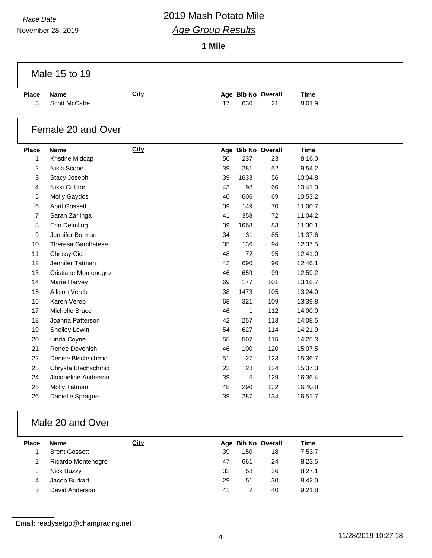November 28, 2019

## *Race Date* 2019 Mash Potato Mile *Age Group Results*

**1 Mile**

|                | Male 15 to 19                        |             |          |                     |                    |                    |  |
|----------------|--------------------------------------|-------------|----------|---------------------|--------------------|--------------------|--|
| <b>Place</b>   | <b>Name</b>                          | <b>City</b> |          |                     | Age Bib No Overall | <b>Time</b>        |  |
| 3              | Scott McCabe                         |             | 17       | 630                 | 21                 | 8:01.9             |  |
|                | Female 20 and Over                   |             |          |                     |                    |                    |  |
| <b>Place</b>   | <b>Name</b>                          | City        |          |                     | Age Bib No Overall | <b>Time</b>        |  |
| 1              | Kristine Midcap                      |             | 50       | 237                 | 23                 | 8:16.0             |  |
| $\overline{c}$ | Nikki Scope                          |             | 39       | 281                 | 52                 | 9:54.2             |  |
| 3              | Stacy Joseph                         |             | 39       | 1633                | 56                 | 10:04.8            |  |
| $\overline{4}$ | Nikki Culliton                       |             | 43       | 98                  | 66                 | 10:41.0            |  |
| 5              | <b>Molly Gaydos</b>                  |             | 40       | 606                 | 69                 | 10:53.2            |  |
| 6              | <b>April Gossett</b>                 |             | 39       | 149                 | 70                 | 11:00.7            |  |
| $\overline{7}$ | Sarah Zarlinga                       |             | 41       | 358                 | 72                 | 11:04.2            |  |
| 8              | Erin Deimling                        |             | 39       | 1668                | 83                 | 11:30.1            |  |
| 9              | Jennifer Borman                      |             | 34       | 31                  | 85                 | 11:37.6            |  |
| 10             | <b>Theresa Gambatese</b>             |             | 35       | 136                 | 94                 | 12:37.5            |  |
| 11             | Chrissy Cici                         |             | 48       | 72                  | 95                 | 12:41.0            |  |
| 12             | Jennifer Tatman                      |             | 42       | 690                 | 96                 | 12:46.1            |  |
| 13             | Cristiane Montenegro                 |             | 46       | 659                 | 99                 | 12:59.2            |  |
| 14             | Marie Harvey<br><b>Allison Vereb</b> |             | 69       | 177                 | 101                | 13:16.7            |  |
| 15<br>16       |                                      |             | 38       | 1473                | 105<br>109         | 13:24.0            |  |
| 17             | Karen Vereb<br>Michelle Bruce        |             | 68<br>46 | 321<br>$\mathbf{1}$ | 112                | 13:39.8<br>14:00.0 |  |
| 18             | Joanna Patterson                     |             | 42       | 257                 | 113                | 14:08.5            |  |
| 19             | Shelley Lewin                        |             | 54       | 627                 | 114                | 14:21.9            |  |
| 20             |                                      |             | 55       | 507                 | 115                | 14:25.3            |  |
| 21             | Linda Coyne<br>Renee Devenish        |             | 46       | 100                 | 120                | 15:07.5            |  |
| 22             | Denise Blechschmid                   |             | 51       | 27                  | 123                | 15:36.7            |  |
| 23             | Chrysta Blechschmid                  |             | 22       | 28                  | 124                | 15:37.3            |  |
| 24             |                                      |             | 39       | $\overline{5}$      |                    | 16:36.4            |  |
| 25             | Jacqueline Anderson<br>Molly Tatman  |             | 48       | 290                 | 129<br>132         | 16:40.8            |  |
| 26             | Danielle Sprague                     |             | 39       | 287                 | 134                | 16:51.7            |  |
|                |                                      |             |          |                     |                    |                    |  |

### Male 20 and Over

| <b>Place</b> | <b>Name</b>          | <u>City</u> |    |     | Age Bib No Overall | Time   |
|--------------|----------------------|-------------|----|-----|--------------------|--------|
|              | <b>Brent Gossett</b> |             | 39 | 150 | 18                 | 7:53.7 |
|              | Ricardo Montenegro   |             | 47 | 661 | 24                 | 8:23.5 |
|              | Nick Buzzy           |             | 32 | 58  | 26                 | 8:27.1 |
| 4            | Jacob Burkart        |             | 29 | 51  | 30                 | 8:42.0 |
| 5            | David Anderson       |             | 41 |     | 40                 | 9:21.8 |

Email: readysetgo@champracing.net